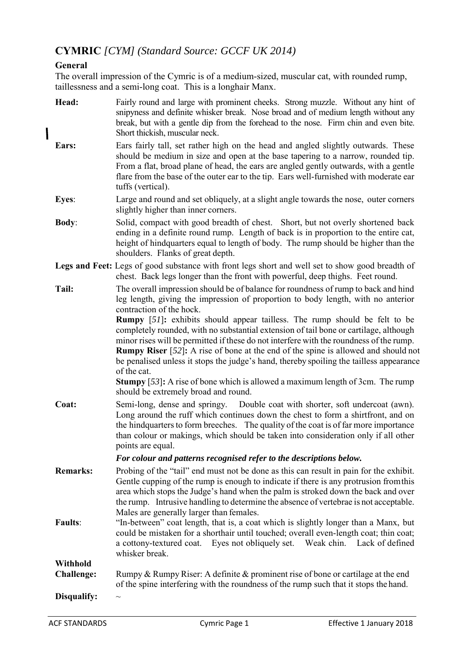# **CYMRIC** *[CYM] (Standard Source: GCCF UK 2014)*

## **General**

 $\overline{\phantom{a}}$ 

The overall impression of the Cymric is of a medium-sized, muscular cat, with rounded rump, taillessness and a semi-long coat. This is a longhair Manx.

| Head:                         | Fairly round and large with prominent cheeks. Strong muzzle. Without any hint of<br>snipyness and definite whisker break. Nose broad and of medium length without any<br>break, but with a gentle dip from the forehead to the nose. Firm chin and even bite.<br>Short thickish, muscular neck.                                                                                                                                                                              |
|-------------------------------|------------------------------------------------------------------------------------------------------------------------------------------------------------------------------------------------------------------------------------------------------------------------------------------------------------------------------------------------------------------------------------------------------------------------------------------------------------------------------|
| Ears:                         | Ears fairly tall, set rather high on the head and angled slightly outwards. These<br>should be medium in size and open at the base tapering to a narrow, rounded tip.<br>From a flat, broad plane of head, the ears are angled gently outwards, with a gentle<br>flare from the base of the outer ear to the tip. Ears well-furnished with moderate ear<br>tuffs (vertical).                                                                                                 |
| Eyes:                         | Large and round and set obliquely, at a slight angle towards the nose, outer corners<br>slightly higher than inner corners.                                                                                                                                                                                                                                                                                                                                                  |
| <b>Body:</b>                  | Solid, compact with good breadth of chest. Short, but not overly shortened back<br>ending in a definite round rump. Length of back is in proportion to the entire cat,<br>height of hindquarters equal to length of body. The rump should be higher than the<br>shoulders. Flanks of great depth.                                                                                                                                                                            |
|                               | Legs and Feet: Legs of good substance with front legs short and well set to show good breadth of<br>chest. Back legs longer than the front with powerful, deep thighs. Feet round.                                                                                                                                                                                                                                                                                           |
| Tail:                         | The overall impression should be of balance for roundness of rump to back and hind<br>leg length, giving the impression of proportion to body length, with no anterior<br>contraction of the hock.                                                                                                                                                                                                                                                                           |
|                               | <b>Rumpy</b> [51]: exhibits should appear tailless. The rump should be felt to be<br>completely rounded, with no substantial extension of tail bone or cartilage, although<br>minor rises will be permitted if these do not interfere with the roundness of the rump.<br><b>Rumpy Riser</b> [52]: A rise of bone at the end of the spine is allowed and should not<br>be penalised unless it stops the judge's hand, thereby spoiling the tailless appearance<br>of the cat. |
|                               | <b>Stumpy</b> [53]: A rise of bone which is allowed a maximum length of 3cm. The rump<br>should be extremely broad and round.                                                                                                                                                                                                                                                                                                                                                |
| Coat:                         | Semi-long, dense and springy. Double coat with shorter, soft undercoat (awn).<br>Long around the ruff which continues down the chest to form a shirtfront, and on<br>the hind quarters to form breeches. The quality of the coat is of far more importance<br>than colour or makings, which should be taken into consideration only if all other<br>points are equal.                                                                                                        |
|                               | For colour and patterns recognised refer to the descriptions below.                                                                                                                                                                                                                                                                                                                                                                                                          |
| <b>Remarks:</b>               | Probing of the "tail" end must not be done as this can result in pain for the exhibit.<br>Gentle cupping of the rump is enough to indicate if there is any protrusion from this<br>area which stops the Judge's hand when the palm is stroked down the back and over<br>the rump. Intrusive handling to determine the absence of vertebrae is not acceptable.<br>Males are generally larger than females.                                                                    |
| <b>Faults:</b>                | "In-between" coat length, that is, a coat which is slightly longer than a Manx, but<br>could be mistaken for a shorthair until touched; overall even-length coat; thin coat;<br>a cottony-textured coat. Eyes not obliquely set. Weak chin. Lack of defined<br>whisker break.                                                                                                                                                                                                |
| Withhold<br><b>Challenge:</b> | Rumpy & Rumpy Riser: A definite & prominent rise of bone or cartilage at the end<br>of the spine interfering with the roundness of the rump such that it stops the hand.                                                                                                                                                                                                                                                                                                     |
| Disqualify:                   | $\sim$                                                                                                                                                                                                                                                                                                                                                                                                                                                                       |